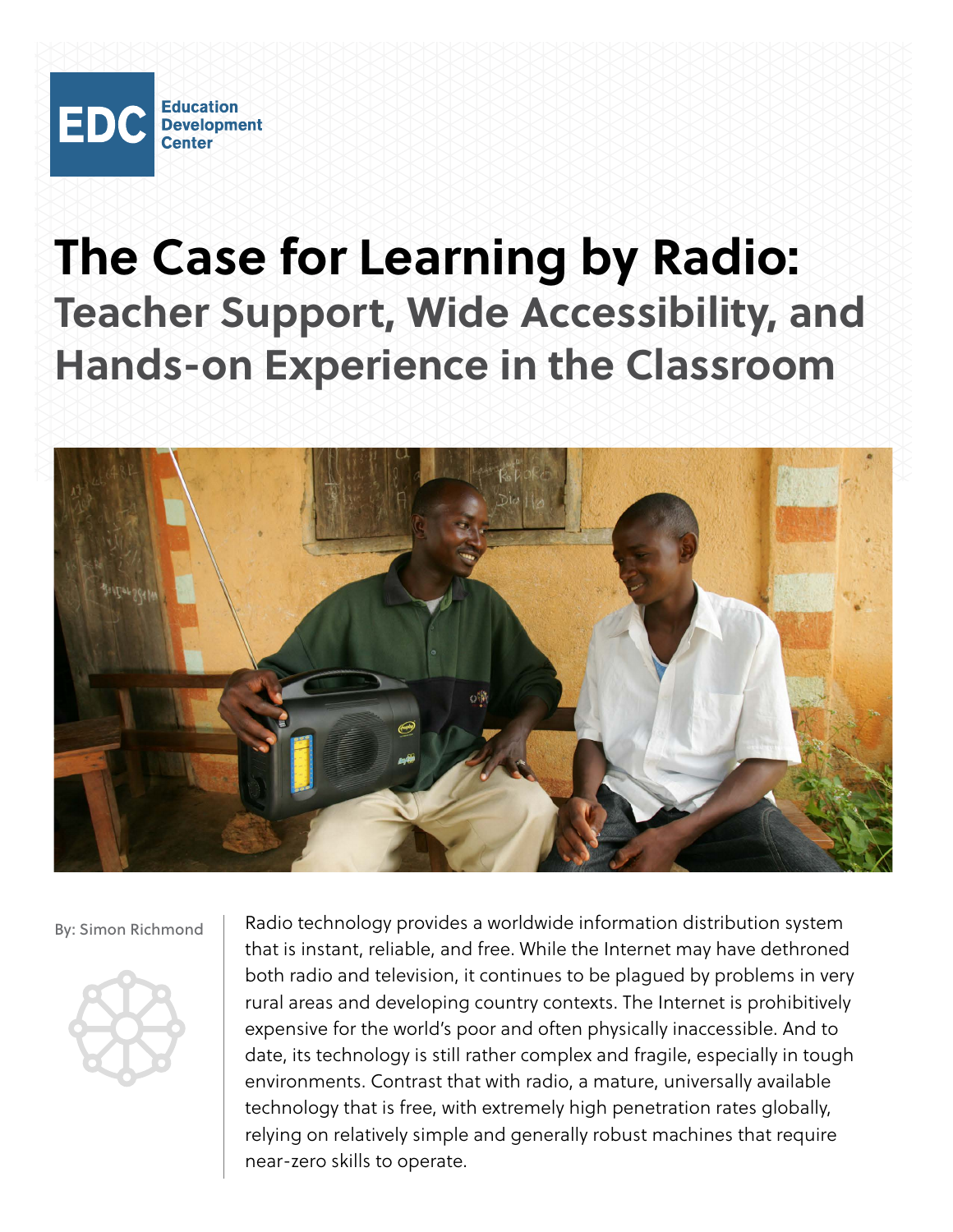

# **The Case for Learning by Radio: Teacher Support, Wide Accessibility, and Hands-on Experience in the Classroom**



By: Simon Richmond



Radio technology provides a worldwide information distribution system that is instant, reliable, and free. While the Internet may have dethroned both radio and television, it continues to be plagued by problems in very rural areas and developing country contexts. The Internet is prohibitively expensive for the world's poor and often physically inaccessible. And to date, its technology is still rather complex and fragile, especially in tough environments. Contrast that with radio, a mature, universally available technology that is free, with extremely high penetration rates globally, relying on relatively simple and generally robust machines that require near-zero skills to operate.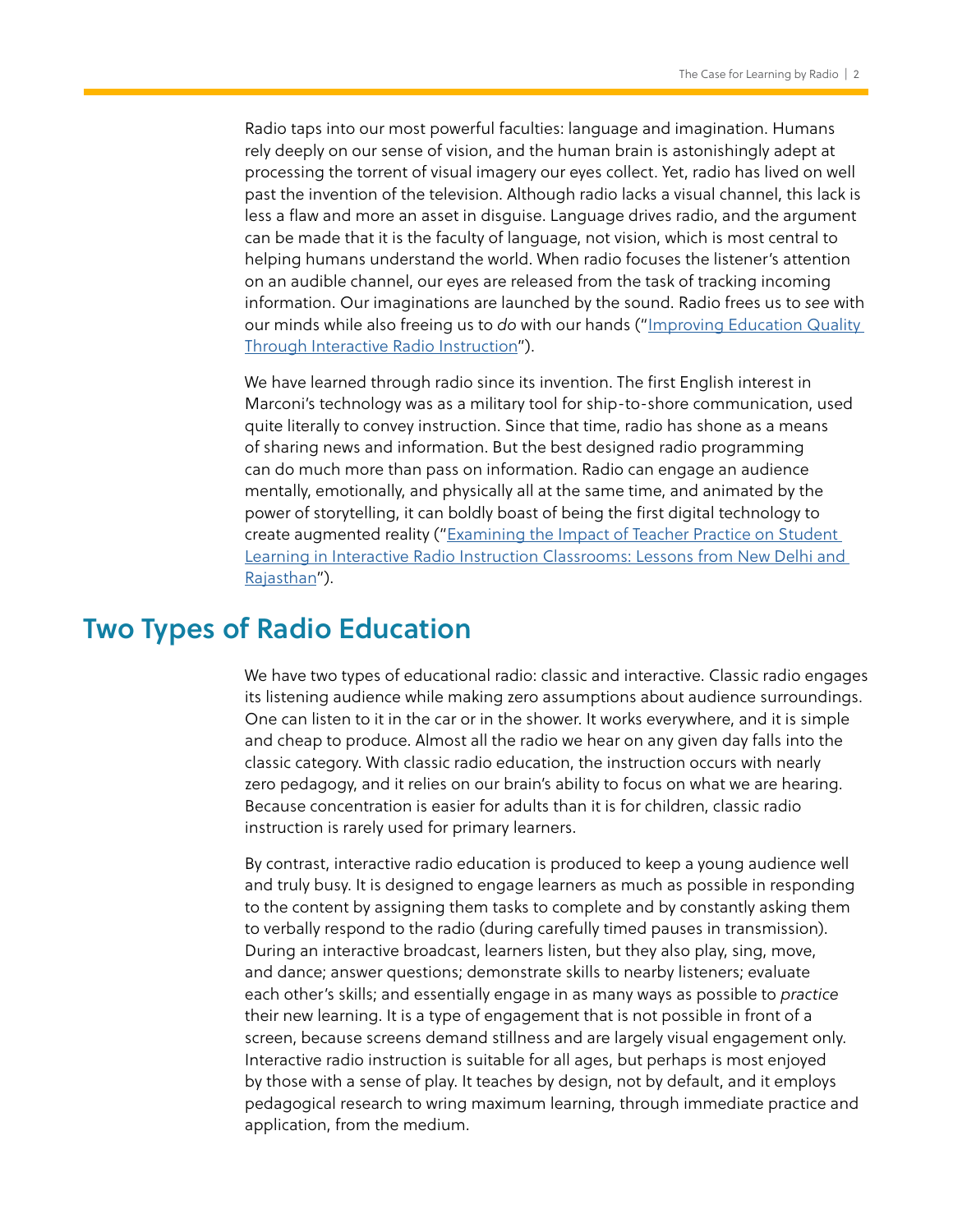Radio taps into our most powerful faculties: language and imagination. Humans rely deeply on our sense of vision, and the human brain is astonishingly adept at processing the torrent of visual imagery our eyes collect. Yet, radio has lived on well past the invention of the television. Although radio lacks a visual channel, this lack is less a flaw and more an asset in disguise. Language drives radio, and the argument can be made that it is the faculty of language, not vision, which is most central to helping humans understand the world. When radio focuses the listener's attention on an audible channel, our eyes are released from the task of tracking incoming information. Our imaginations are launched by the sound. Radio frees us to *see* with our minds while also freeing us to *do* with our hands (["Improving Education Quality](https://www.edc.org/improving-education-quality-through-interactive-radio-instruction)  [Through Interactive Radio Instruction"](https://www.edc.org/improving-education-quality-through-interactive-radio-instruction)).

We have learned through radio since its invention. The first English interest in Marconi's technology was as a military tool for ship-to-shore communication, used quite literally to convey instruction. Since that time, radio has shone as a means of sharing news and information. But the best designed radio programming can do much more than pass on information. Radio can engage an audience mentally, emotionally, and physically all at the same time, and animated by the power of storytelling, it can boldly boast of being the first digital technology to create augmented reality (["Examining the Impact of Teacher Practice on Student](https://www.edc.org/examining-impact-teacher-practice-student-learning-interactive-radio-instruction-classrooms)  [Learning in Interactive Radio Instruction Classrooms: Lessons from New Delhi and](https://www.edc.org/examining-impact-teacher-practice-student-learning-interactive-radio-instruction-classrooms)  [Rajasthan](https://www.edc.org/examining-impact-teacher-practice-student-learning-interactive-radio-instruction-classrooms)").

# Two Types of Radio Education

We have two types of educational radio: classic and interactive. Classic radio engages its listening audience while making zero assumptions about audience surroundings. One can listen to it in the car or in the shower. It works everywhere, and it is simple and cheap to produce. Almost all the radio we hear on any given day falls into the classic category. With classic radio education, the instruction occurs with nearly zero pedagogy, and it relies on our brain's ability to focus on what we are hearing. Because concentration is easier for adults than it is for children, classic radio instruction is rarely used for primary learners.

By contrast, interactive radio education is produced to keep a young audience well and truly busy. It is designed to engage learners as much as possible in responding to the content by assigning them tasks to complete and by constantly asking them to verbally respond to the radio (during carefully timed pauses in transmission). During an interactive broadcast, learners listen, but they also play, sing, move, and dance; answer questions; demonstrate skills to nearby listeners; evaluate each other's skills; and essentially engage in as many ways as possible to *practice* their new learning. It is a type of engagement that is not possible in front of a screen, because screens demand stillness and are largely visual engagement only. Interactive radio instruction is suitable for all ages, but perhaps is most enjoyed by those with a sense of play. It teaches by design, not by default, and it employs pedagogical research to wring maximum learning, through immediate practice and application, from the medium.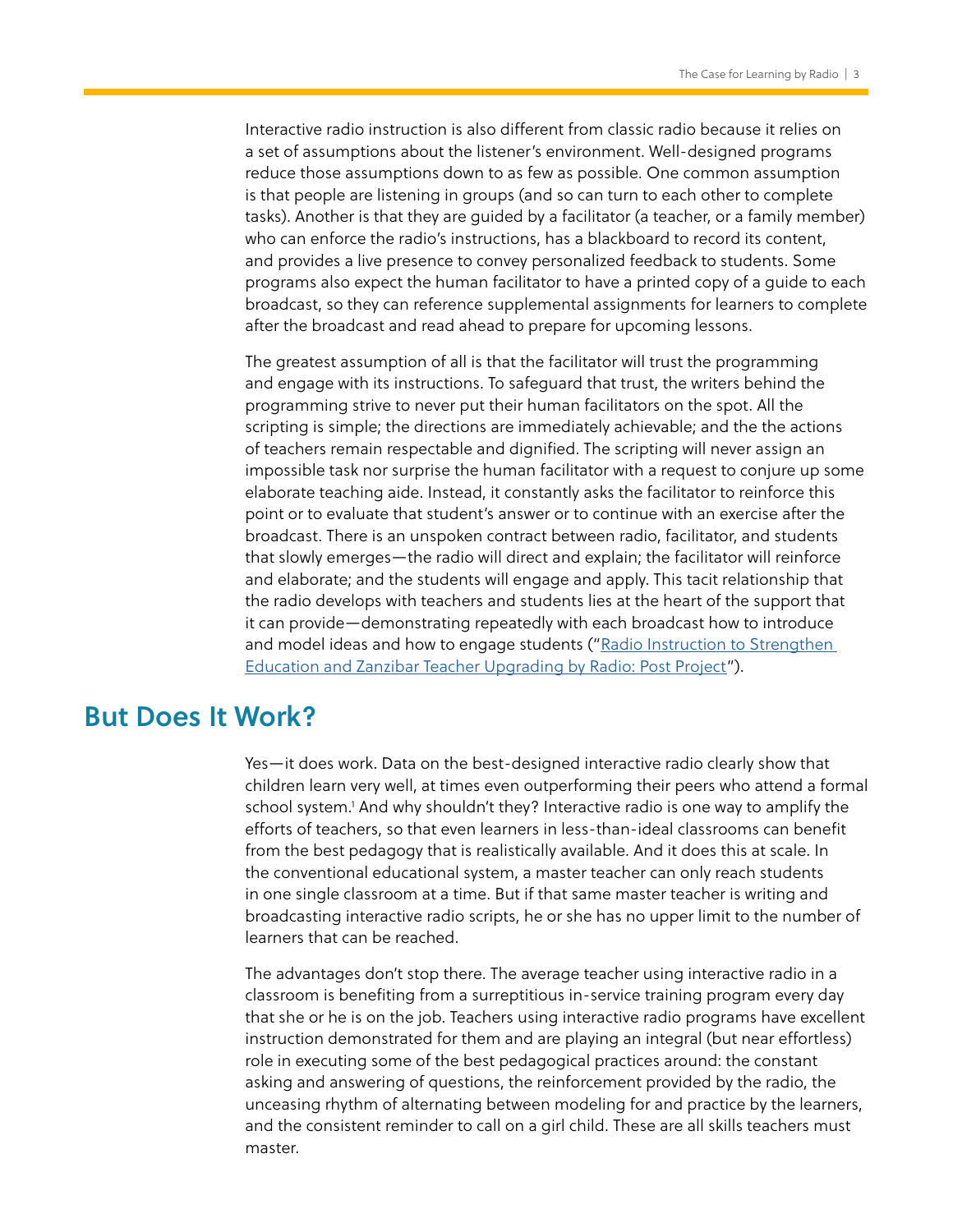<span id="page-2-0"></span>Interactive radio instruction is also different from classic radio because it relies on a set of assumptions about the listener's environment. Well-designed programs reduce those assumptions down to as few as possible. One common assumption is that people are listening in groups (and so can turn to each other to complete tasks). Another is that they are guided by a facilitator (a teacher, or a family member) who can enforce the radio's instructions, has a blackboard to record its content, and provides a live presence to convey personalized feedback to students. Some programs also expect the human facilitator to have a printed copy of a guide to each broadcast, so they can reference supplemental assignments for learners to complete after the broadcast and read ahead to prepare for upcoming lessons.

The greatest assumption of all is that the facilitator will trust the programming and engage with its instructions. To safeguard that trust, the writers behind the programming strive to never put their human facilitators on the spot. All the scripting is simple; the directions are immediately achievable; and the the actions of teachers remain respectable and dignified. The scripting will never assign an impossible task nor surprise the human facilitator with a request to conjure up some elaborate teaching aide. Instead, it constantly asks the facilitator to reinforce this point or to evaluate that student's answer or to continue with an exercise after the broadcast. There is an unspoken contract between radio, facilitator, and students that slowly emerges—the radio will direct and explain; the facilitator will reinforce and elaborate; and the students will engage and apply. This tacit relationship that the radio develops with teachers and students lies at the heart of the support that it can provide—demonstrating repeatedly with each broadcast how to introduce and model ideas and how to engage students ("Radio Instruction to Strengthen [Education and Zanzibar Teacher Upgrading by Radio: Post Project](https://www.edc.org/radio-instruction-strengthen-education-and-zanzibar-teacher-upgrading-radio-post-project)").

### But Does It Work?

Yes—it does work. Data on the best-designed interactive radio clearly show that children learn very well, at times even outperforming their peers who attend a formal school system.<sup>1</sup> And why shouldn't they? Interactive radio is one way to amplify the efforts of teachers, so that even learners in less-than-ideal classrooms can benefit from the best pedagogy that is realistically available. And it does this at scale. In the conventional educational system, a master teacher can only reach students in one single classroom at a time. But if that same master teacher is writing and broadcasting interactive radio scripts, he or she has no upper limit to the number of learners that can be reached.

The advantages don't stop there. The average teacher using interactive radio in a classroom is benefiting from a surreptitious in-service training program every day that she or he is on the job. Teachers using interactive radio programs have excellent instruction demonstrated for them and are playing an integral (but near effortless) role in executing some of the best pedagogical practices around: the constant asking and answering of questions, the reinforcement provided by the radio, the unceasing rhythm of alternating between modeling for and practice by the learners, and the consistent reminder to call on a girl child. These are all skills teachers must master.